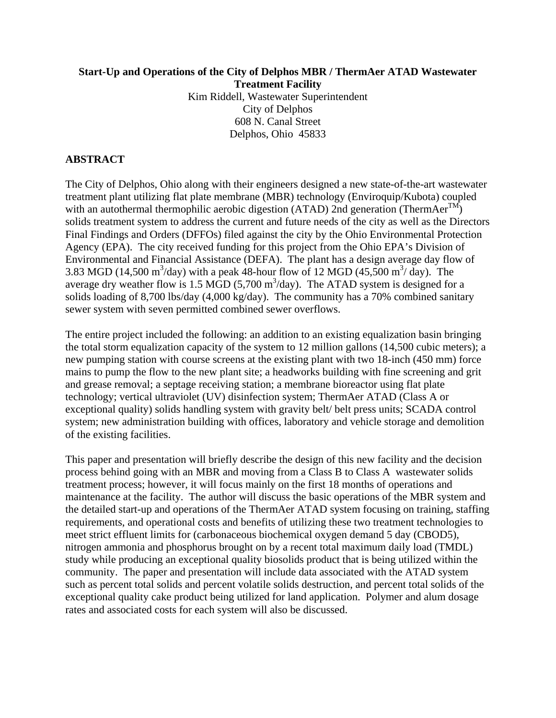# **Start-Up and Operations of the City of Delphos MBR / ThermAer ATAD Wastewater Treatment Facility**

Kim Riddell, Wastewater Superintendent City of Delphos 608 N. Canal Street Delphos, Ohio 45833

## **ABSTRACT**

The City of Delphos, Ohio along with their engineers designed a new state-of-the-art wastewater treatment plant utilizing flat plate membrane (MBR) technology (Enviroquip/Kubota) coupled with an autothermal thermophilic aerobic digestion (ATAD) 2nd generation (ThermAer<sup>TM</sup>) solids treatment system to address the current and future needs of the city as well as the Directors Final Findings and Orders (DFFOs) filed against the city by the Ohio Environmental Protection Agency (EPA). The city received funding for this project from the Ohio EPA's Division of Environmental and Financial Assistance (DEFA). The plant has a design average day flow of 3.83 MGD (14,500 m<sup>3</sup>/day) with a peak 48-hour flow of 12 MGD (45,500 m<sup>3</sup>/day). The average dry weather flow is 1.5 MGD (5,700  $\text{m}^3/\text{day}$ ). The ATAD system is designed for a solids loading of 8,700 lbs/day (4,000 kg/day). The community has a 70% combined sanitary sewer system with seven permitted combined sewer overflows.

The entire project included the following: an addition to an existing equalization basin bringing the total storm equalization capacity of the system to 12 million gallons (14,500 cubic meters); a new pumping station with course screens at the existing plant with two 18-inch (450 mm) force mains to pump the flow to the new plant site; a headworks building with fine screening and grit and grease removal; a septage receiving station; a membrane bioreactor using flat plate technology; vertical ultraviolet (UV) disinfection system; ThermAer ATAD (Class A or exceptional quality) solids handling system with gravity belt/ belt press units; SCADA control system; new administration building with offices, laboratory and vehicle storage and demolition of the existing facilities.

This paper and presentation will briefly describe the design of this new facility and the decision process behind going with an MBR and moving from a Class B to Class A wastewater solids treatment process; however, it will focus mainly on the first 18 months of operations and maintenance at the facility. The author will discuss the basic operations of the MBR system and the detailed start-up and operations of the ThermAer ATAD system focusing on training, staffing requirements, and operational costs and benefits of utilizing these two treatment technologies to meet strict effluent limits for (carbonaceous biochemical oxygen demand 5 day (CBOD5), nitrogen ammonia and phosphorus brought on by a recent total maximum daily load (TMDL) study while producing an exceptional quality biosolids product that is being utilized within the community. The paper and presentation will include data associated with the ATAD system such as percent total solids and percent volatile solids destruction, and percent total solids of the exceptional quality cake product being utilized for land application. Polymer and alum dosage rates and associated costs for each system will also be discussed.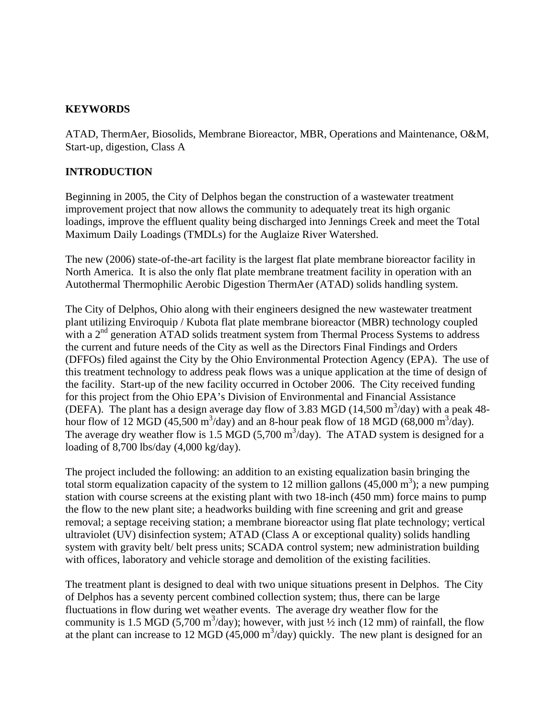#### **KEYWORDS**

ATAD, ThermAer, Biosolids, Membrane Bioreactor, MBR, Operations and Maintenance, O&M, Start-up, digestion, Class A

#### **INTRODUCTION**

Beginning in 2005, the City of Delphos began the construction of a wastewater treatment improvement project that now allows the community to adequately treat its high organic loadings, improve the effluent quality being discharged into Jennings Creek and meet the Total Maximum Daily Loadings (TMDLs) for the Auglaize River Watershed.

The new (2006) state-of-the-art facility is the largest flat plate membrane bioreactor facility in North America. It is also the only flat plate membrane treatment facility in operation with an Autothermal Thermophilic Aerobic Digestion ThermAer (ATAD) solids handling system.

The City of Delphos, Ohio along with their engineers designed the new wastewater treatment plant utilizing Enviroquip / Kubota flat plate membrane bioreactor (MBR) technology coupled with a  $2<sup>nd</sup>$  generation ATAD solids treatment system from Thermal Process Systems to address the current and future needs of the City as well as the Directors Final Findings and Orders (DFFOs) filed against the City by the Ohio Environmental Protection Agency (EPA). The use of this treatment technology to address peak flows was a unique application at the time of design of the facility. Start-up of the new facility occurred in October 2006. The City received funding for this project from the Ohio EPA's Division of Environmental and Financial Assistance (DEFA). The plant has a design average day flow of 3.83 MGD (14,500  $\text{m}^3/\text{day}$ ) with a peak 48hour flow of 12 MGD (45,500 m<sup>3</sup>/day) and an 8-hour peak flow of 18 MGD (68,000 m<sup>3</sup>/day). The average dry weather flow is 1.5 MGD (5,700  $\text{m}^3/\text{day}$ ). The ATAD system is designed for a loading of 8,700 lbs/day (4,000 kg/day).

The project included the following: an addition to an existing equalization basin bringing the total storm equalization capacity of the system to 12 million gallons  $(45,000 \text{ m}^3)$ ; a new pumping station with course screens at the existing plant with two 18-inch (450 mm) force mains to pump the flow to the new plant site; a headworks building with fine screening and grit and grease removal; a septage receiving station; a membrane bioreactor using flat plate technology; vertical ultraviolet (UV) disinfection system; ATAD (Class A or exceptional quality) solids handling system with gravity belt/ belt press units; SCADA control system; new administration building with offices, laboratory and vehicle storage and demolition of the existing facilities.

The treatment plant is designed to deal with two unique situations present in Delphos. The City of Delphos has a seventy percent combined collection system; thus, there can be large fluctuations in flow during wet weather events. The average dry weather flow for the community is 1.5 MGD (5,700 m<sup>3</sup>/day); however, with just  $\frac{1}{2}$  inch (12 mm) of rainfall, the flow at the plant can increase to 12 MGD  $(45,000 \text{ m}^3/\text{day})$  quickly. The new plant is designed for an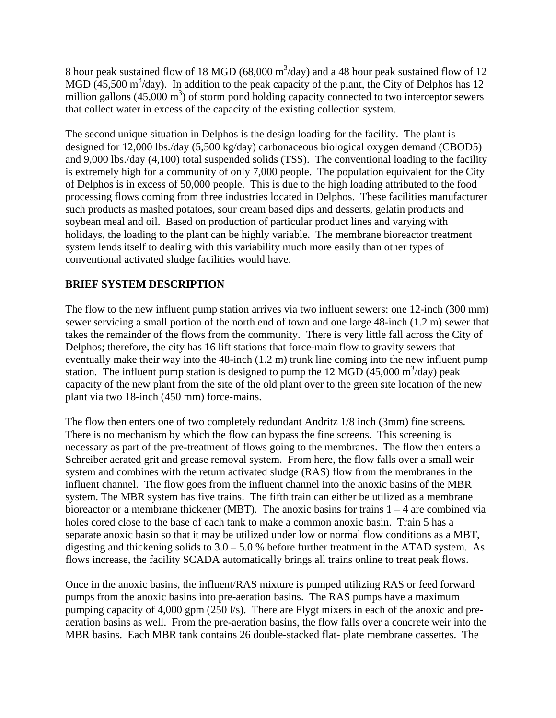8 hour peak sustained flow of 18 MGD (68,000  $\text{m}^3/\text{day}$ ) and a 48 hour peak sustained flow of 12 MGD  $(45,500 \text{ m}^3/\text{day})$ . In addition to the peak capacity of the plant, the City of Delphos has 12 million gallons  $(45,000 \text{ m}^3)$  of storm pond holding capacity connected to two interceptor sewers that collect water in excess of the capacity of the existing collection system.

The second unique situation in Delphos is the design loading for the facility. The plant is designed for 12,000 lbs./day (5,500 kg/day) carbonaceous biological oxygen demand (CBOD5) and 9,000 lbs./day (4,100) total suspended solids (TSS). The conventional loading to the facility is extremely high for a community of only 7,000 people. The population equivalent for the City of Delphos is in excess of 50,000 people. This is due to the high loading attributed to the food processing flows coming from three industries located in Delphos. These facilities manufacturer such products as mashed potatoes, sour cream based dips and desserts, gelatin products and soybean meal and oil. Based on production of particular product lines and varying with holidays, the loading to the plant can be highly variable. The membrane bioreactor treatment system lends itself to dealing with this variability much more easily than other types of conventional activated sludge facilities would have.

## **BRIEF SYSTEM DESCRIPTION**

The flow to the new influent pump station arrives via two influent sewers: one 12-inch (300 mm) sewer servicing a small portion of the north end of town and one large 48-inch (1.2 m) sewer that takes the remainder of the flows from the community. There is very little fall across the City of Delphos; therefore, the city has 16 lift stations that force-main flow to gravity sewers that eventually make their way into the 48-inch (1.2 m) trunk line coming into the new influent pump station. The influent pump station is designed to pump the 12 MGD  $(45,000 \text{ m}^3/\text{day})$  peak capacity of the new plant from the site of the old plant over to the green site location of the new plant via two 18-inch (450 mm) force-mains.

The flow then enters one of two completely redundant Andritz 1/8 inch (3mm) fine screens. There is no mechanism by which the flow can bypass the fine screens. This screening is necessary as part of the pre-treatment of flows going to the membranes. The flow then enters a Schreiber aerated grit and grease removal system. From here, the flow falls over a small weir system and combines with the return activated sludge (RAS) flow from the membranes in the influent channel. The flow goes from the influent channel into the anoxic basins of the MBR system. The MBR system has five trains. The fifth train can either be utilized as a membrane bioreactor or a membrane thickener (MBT). The anoxic basins for trains  $1 - 4$  are combined via holes cored close to the base of each tank to make a common anoxic basin. Train 5 has a separate anoxic basin so that it may be utilized under low or normal flow conditions as a MBT, digesting and thickening solids to  $3.0 - 5.0$  % before further treatment in the ATAD system. As flows increase, the facility SCADA automatically brings all trains online to treat peak flows.

Once in the anoxic basins, the influent/RAS mixture is pumped utilizing RAS or feed forward pumps from the anoxic basins into pre-aeration basins. The RAS pumps have a maximum pumping capacity of 4,000 gpm (250 l/s). There are Flygt mixers in each of the anoxic and preaeration basins as well. From the pre-aeration basins, the flow falls over a concrete weir into the MBR basins. Each MBR tank contains 26 double-stacked flat- plate membrane cassettes. The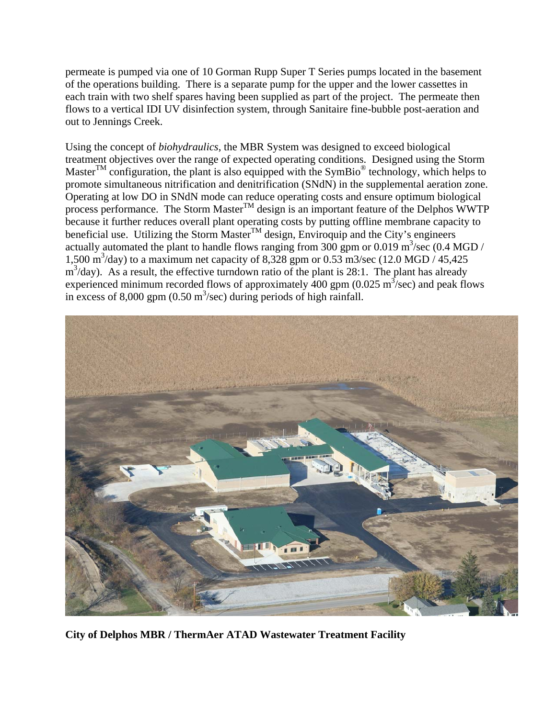permeate is pumped via one of 10 Gorman Rupp Super T Series pumps located in the basement of the operations building. There is a separate pump for the upper and the lower cassettes in each train with two shelf spares having been supplied as part of the project. The permeate then flows to a vertical IDI UV disinfection system, through Sanitaire fine-bubble post-aeration and out to Jennings Creek.

Using the concept of *biohydraulics*, the MBR System was designed to exceed biological treatment objectives over the range of expected operating conditions. Designed using the Storm Master<sup>TM</sup> configuration, the plant is also equipped with the SymBio<sup>®</sup> technology, which helps to promote simultaneous nitrification and denitrification (SNdN) in the supplemental aeration zone. Operating at low DO in SNdN mode can reduce operating costs and ensure optimum biological process performance. The Storm Master<sup>TM</sup> design is an important feature of the Delphos WWTP because it further reduces overall plant operating costs by putting offline membrane capacity to beneficial use. Utilizing the Storm Master<sup>TM</sup> design, Enviroquip and the City's engineers actually automated the plant to handle flows ranging from 300 gpm or 0.019 m<sup>3</sup>/sec (0.4 MGD / 1,500 m<sup>3</sup>/day) to a maximum net capacity of 8,328 gpm or 0.53 m3/sec (12.0 MGD  $/$  45,425 m<sup>3</sup>/day). As a result, the effective turndown ratio of the plant is 28:1. The plant has already experienced minimum recorded flows of approximately  $400$  gpm (0.025 m<sup>3</sup>/sec) and peak flows in excess of 8,000 gpm  $(0.50 \text{ m}^3/\text{sec})$  during periods of high rainfall.



**City of Delphos MBR / ThermAer ATAD Wastewater Treatment Facility**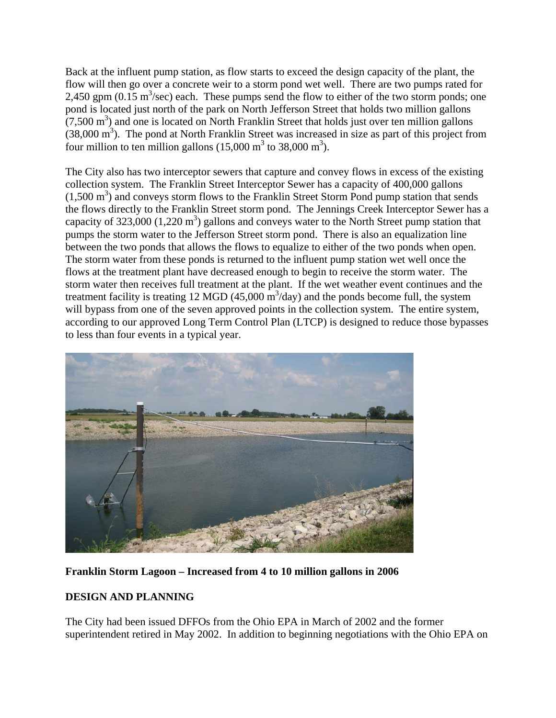Back at the influent pump station, as flow starts to exceed the design capacity of the plant, the flow will then go over a concrete weir to a storm pond wet well. There are two pumps rated for 2,450 gpm  $(0.15 \text{ m}^3/\text{sec})$  each. These pumps send the flow to either of the two storm ponds; one pond is located just north of the park on North Jefferson Street that holds two million gallons  $(7,500 \text{ m}^3)$  and one is located on North Franklin Street that holds just over ten million gallons  $(38,000 \text{ m}^3)$ . The pond at North Franklin Street was increased in size as part of this project from four million to ten million gallons  $(15,000 \text{ m}^3 \text{ to } 38,000 \text{ m}^3)$ .

The City also has two interceptor sewers that capture and convey flows in excess of the existing collection system. The Franklin Street Interceptor Sewer has a capacity of 400,000 gallons  $(1,500 \text{ m}^3)$  and conveys storm flows to the Franklin Street Storm Pond pump station that sends the flows directly to the Franklin Street storm pond. The Jennings Creek Interceptor Sewer has a capacity of 323,000 (1,220  $\text{m}^3$ ) gallons and conveys water to the North Street pump station that pumps the storm water to the Jefferson Street storm pond. There is also an equalization line between the two ponds that allows the flows to equalize to either of the two ponds when open. The storm water from these ponds is returned to the influent pump station wet well once the flows at the treatment plant have decreased enough to begin to receive the storm water. The storm water then receives full treatment at the plant. If the wet weather event continues and the treatment facility is treating 12 MGD  $(45,000 \text{ m}^3/\text{day})$  and the ponds become full, the system will bypass from one of the seven approved points in the collection system. The entire system, according to our approved Long Term Control Plan (LTCP) is designed to reduce those bypasses to less than four events in a typical year.



**Franklin Storm Lagoon – Increased from 4 to 10 million gallons in 2006** 

## **DESIGN AND PLANNING**

The City had been issued DFFOs from the Ohio EPA in March of 2002 and the former superintendent retired in May 2002. In addition to beginning negotiations with the Ohio EPA on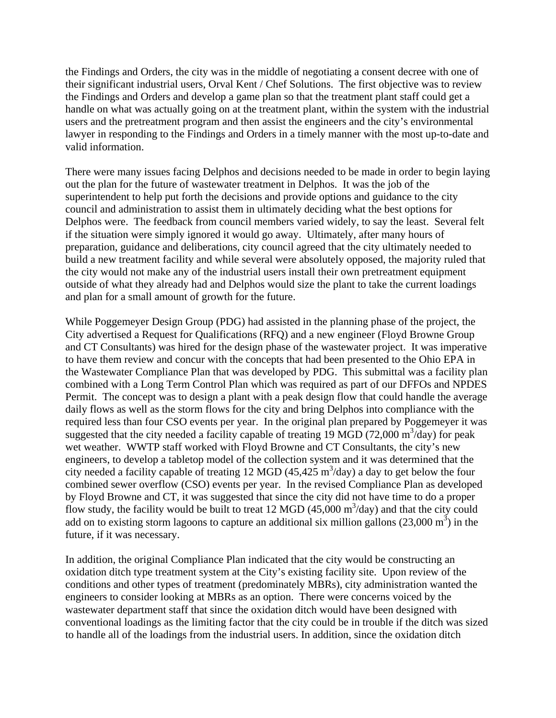the Findings and Orders, the city was in the middle of negotiating a consent decree with one of their significant industrial users, Orval Kent / Chef Solutions. The first objective was to review the Findings and Orders and develop a game plan so that the treatment plant staff could get a handle on what was actually going on at the treatment plant, within the system with the industrial users and the pretreatment program and then assist the engineers and the city's environmental lawyer in responding to the Findings and Orders in a timely manner with the most up-to-date and valid information.

There were many issues facing Delphos and decisions needed to be made in order to begin laying out the plan for the future of wastewater treatment in Delphos. It was the job of the superintendent to help put forth the decisions and provide options and guidance to the city council and administration to assist them in ultimately deciding what the best options for Delphos were. The feedback from council members varied widely, to say the least. Several felt if the situation were simply ignored it would go away. Ultimately, after many hours of preparation, guidance and deliberations, city council agreed that the city ultimately needed to build a new treatment facility and while several were absolutely opposed, the majority ruled that the city would not make any of the industrial users install their own pretreatment equipment outside of what they already had and Delphos would size the plant to take the current loadings and plan for a small amount of growth for the future.

While Poggemeyer Design Group (PDG) had assisted in the planning phase of the project, the City advertised a Request for Qualifications (RFQ) and a new engineer (Floyd Browne Group and CT Consultants) was hired for the design phase of the wastewater project. It was imperative to have them review and concur with the concepts that had been presented to the Ohio EPA in the Wastewater Compliance Plan that was developed by PDG. This submittal was a facility plan combined with a Long Term Control Plan which was required as part of our DFFOs and NPDES Permit. The concept was to design a plant with a peak design flow that could handle the average daily flows as well as the storm flows for the city and bring Delphos into compliance with the required less than four CSO events per year. In the original plan prepared by Poggemeyer it was suggested that the city needed a facility capable of treating 19 MGD (72,000 m<sup>3</sup>/day) for peak wet weather. WWTP staff worked with Floyd Browne and CT Consultants, the city's new engineers, to develop a tabletop model of the collection system and it was determined that the city needed a facility capable of treating 12 MGD (45,425  $\text{m}^3/\text{day}$ ) a day to get below the four combined sewer overflow (CSO) events per year. In the revised Compliance Plan as developed by Floyd Browne and CT, it was suggested that since the city did not have time to do a proper flow study, the facility would be built to treat 12 MGD  $(45,000 \text{ m}^3/\text{day})$  and that the city could add on to existing storm lagoons to capture an additional six million gallons  $(23,000 \text{ m}^3)$  in the future, if it was necessary.

In addition, the original Compliance Plan indicated that the city would be constructing an oxidation ditch type treatment system at the City's existing facility site. Upon review of the conditions and other types of treatment (predominately MBRs), city administration wanted the engineers to consider looking at MBRs as an option. There were concerns voiced by the wastewater department staff that since the oxidation ditch would have been designed with conventional loadings as the limiting factor that the city could be in trouble if the ditch was sized to handle all of the loadings from the industrial users. In addition, since the oxidation ditch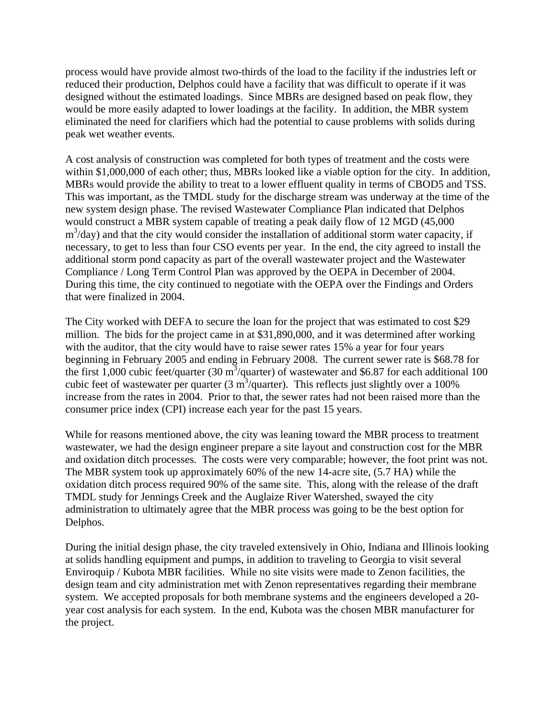process would have provide almost two-thirds of the load to the facility if the industries left or reduced their production, Delphos could have a facility that was difficult to operate if it was designed without the estimated loadings. Since MBRs are designed based on peak flow, they would be more easily adapted to lower loadings at the facility. In addition, the MBR system eliminated the need for clarifiers which had the potential to cause problems with solids during peak wet weather events.

A cost analysis of construction was completed for both types of treatment and the costs were within \$1,000,000 of each other; thus, MBRs looked like a viable option for the city. In addition, MBRs would provide the ability to treat to a lower effluent quality in terms of CBOD5 and TSS. This was important, as the TMDL study for the discharge stream was underway at the time of the new system design phase. The revised Wastewater Compliance Plan indicated that Delphos would construct a MBR system capable of treating a peak daily flow of 12 MGD (45,000 m<sup>3</sup>/day) and that the city would consider the installation of additional storm water capacity, if necessary, to get to less than four CSO events per year. In the end, the city agreed to install the additional storm pond capacity as part of the overall wastewater project and the Wastewater Compliance / Long Term Control Plan was approved by the OEPA in December of 2004. During this time, the city continued to negotiate with the OEPA over the Findings and Orders that were finalized in 2004.

The City worked with DEFA to secure the loan for the project that was estimated to cost \$29 million. The bids for the project came in at \$31,890,000, and it was determined after working with the auditor, that the city would have to raise sewer rates 15% a year for four years beginning in February 2005 and ending in February 2008. The current sewer rate is \$68.78 for the first 1,000 cubic feet/quarter (30  $\text{m}^3$ /quarter) of wastewater and \$6.87 for each additional 100 cubic feet of wastewater per quarter  $(3 \text{ m}^3/\text{quarter})$ . This reflects just slightly over a 100% increase from the rates in 2004. Prior to that, the sewer rates had not been raised more than the consumer price index (CPI) increase each year for the past 15 years.

While for reasons mentioned above, the city was leaning toward the MBR process to treatment wastewater, we had the design engineer prepare a site layout and construction cost for the MBR and oxidation ditch processes. The costs were very comparable; however, the foot print was not. The MBR system took up approximately 60% of the new 14-acre site, (5.7 HA) while the oxidation ditch process required 90% of the same site. This, along with the release of the draft TMDL study for Jennings Creek and the Auglaize River Watershed, swayed the city administration to ultimately agree that the MBR process was going to be the best option for Delphos.

During the initial design phase, the city traveled extensively in Ohio, Indiana and Illinois looking at solids handling equipment and pumps, in addition to traveling to Georgia to visit several Enviroquip / Kubota MBR facilities. While no site visits were made to Zenon facilities, the design team and city administration met with Zenon representatives regarding their membrane system. We accepted proposals for both membrane systems and the engineers developed a 20 year cost analysis for each system. In the end, Kubota was the chosen MBR manufacturer for the project.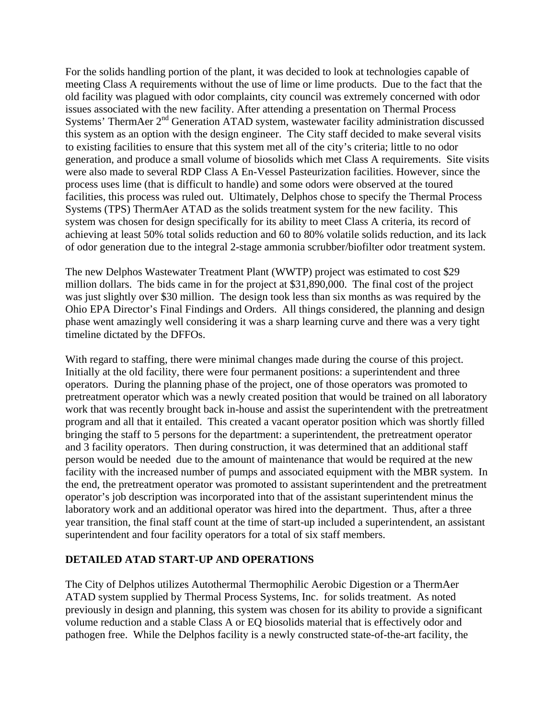For the solids handling portion of the plant, it was decided to look at technologies capable of meeting Class A requirements without the use of lime or lime products. Due to the fact that the old facility was plagued with odor complaints, city council was extremely concerned with odor issues associated with the new facility. After attending a presentation on Thermal Process Systems' ThermAer 2<sup>nd</sup> Generation ATAD system, wastewater facility administration discussed this system as an option with the design engineer. The City staff decided to make several visits to existing facilities to ensure that this system met all of the city's criteria; little to no odor generation, and produce a small volume of biosolids which met Class A requirements. Site visits were also made to several RDP Class A En-Vessel Pasteurization facilities. However, since the process uses lime (that is difficult to handle) and some odors were observed at the toured facilities, this process was ruled out. Ultimately, Delphos chose to specify the Thermal Process Systems (TPS) ThermAer ATAD as the solids treatment system for the new facility. This system was chosen for design specifically for its ability to meet Class A criteria, its record of achieving at least 50% total solids reduction and 60 to 80% volatile solids reduction, and its lack of odor generation due to the integral 2-stage ammonia scrubber/biofilter odor treatment system.

The new Delphos Wastewater Treatment Plant (WWTP) project was estimated to cost \$29 million dollars. The bids came in for the project at \$31,890,000. The final cost of the project was just slightly over \$30 million. The design took less than six months as was required by the Ohio EPA Director's Final Findings and Orders. All things considered, the planning and design phase went amazingly well considering it was a sharp learning curve and there was a very tight timeline dictated by the DFFOs.

With regard to staffing, there were minimal changes made during the course of this project. Initially at the old facility, there were four permanent positions: a superintendent and three operators. During the planning phase of the project, one of those operators was promoted to pretreatment operator which was a newly created position that would be trained on all laboratory work that was recently brought back in-house and assist the superintendent with the pretreatment program and all that it entailed. This created a vacant operator position which was shortly filled bringing the staff to 5 persons for the department: a superintendent, the pretreatment operator and 3 facility operators. Then during construction, it was determined that an additional staff person would be needed due to the amount of maintenance that would be required at the new facility with the increased number of pumps and associated equipment with the MBR system. In the end, the pretreatment operator was promoted to assistant superintendent and the pretreatment operator's job description was incorporated into that of the assistant superintendent minus the laboratory work and an additional operator was hired into the department. Thus, after a three year transition, the final staff count at the time of start-up included a superintendent, an assistant superintendent and four facility operators for a total of six staff members.

#### **DETAILED ATAD START-UP AND OPERATIONS**

The City of Delphos utilizes Autothermal Thermophilic Aerobic Digestion or a ThermAer ATAD system supplied by Thermal Process Systems, Inc. for solids treatment. As noted previously in design and planning, this system was chosen for its ability to provide a significant volume reduction and a stable Class A or EQ biosolids material that is effectively odor and pathogen free. While the Delphos facility is a newly constructed state-of-the-art facility, the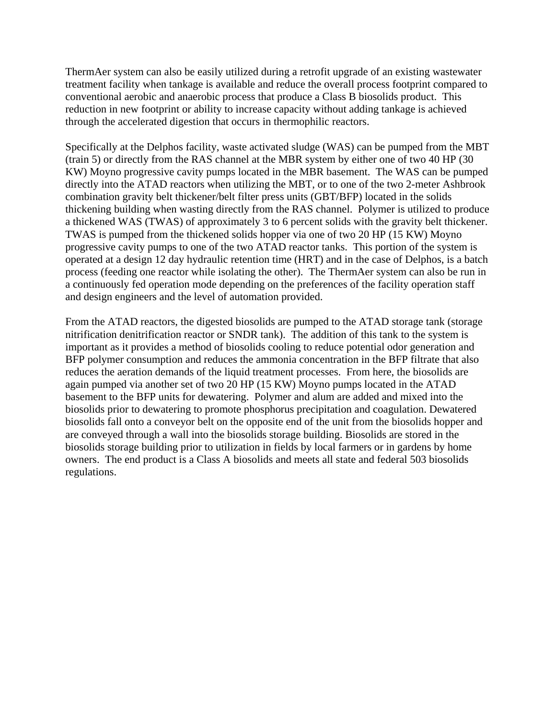ThermAer system can also be easily utilized during a retrofit upgrade of an existing wastewater treatment facility when tankage is available and reduce the overall process footprint compared to conventional aerobic and anaerobic process that produce a Class B biosolids product. This reduction in new footprint or ability to increase capacity without adding tankage is achieved through the accelerated digestion that occurs in thermophilic reactors.

Specifically at the Delphos facility, waste activated sludge (WAS) can be pumped from the MBT (train 5) or directly from the RAS channel at the MBR system by either one of two 40 HP (30 KW) Moyno progressive cavity pumps located in the MBR basement. The WAS can be pumped directly into the ATAD reactors when utilizing the MBT, or to one of the two 2-meter Ashbrook combination gravity belt thickener/belt filter press units (GBT/BFP) located in the solids thickening building when wasting directly from the RAS channel. Polymer is utilized to produce a thickened WAS (TWAS) of approximately 3 to 6 percent solids with the gravity belt thickener. TWAS is pumped from the thickened solids hopper via one of two 20 HP (15 KW) Moyno progressive cavity pumps to one of the two ATAD reactor tanks. This portion of the system is operated at a design 12 day hydraulic retention time (HRT) and in the case of Delphos, is a batch process (feeding one reactor while isolating the other). The ThermAer system can also be run in a continuously fed operation mode depending on the preferences of the facility operation staff and design engineers and the level of automation provided.

From the ATAD reactors, the digested biosolids are pumped to the ATAD storage tank (storage nitrification denitrification reactor or SNDR tank). The addition of this tank to the system is important as it provides a method of biosolids cooling to reduce potential odor generation and BFP polymer consumption and reduces the ammonia concentration in the BFP filtrate that also reduces the aeration demands of the liquid treatment processes. From here, the biosolids are again pumped via another set of two 20 HP (15 KW) Moyno pumps located in the ATAD basement to the BFP units for dewatering. Polymer and alum are added and mixed into the biosolids prior to dewatering to promote phosphorus precipitation and coagulation. Dewatered biosolids fall onto a conveyor belt on the opposite end of the unit from the biosolids hopper and are conveyed through a wall into the biosolids storage building. Biosolids are stored in the biosolids storage building prior to utilization in fields by local farmers or in gardens by home owners. The end product is a Class A biosolids and meets all state and federal 503 biosolids regulations.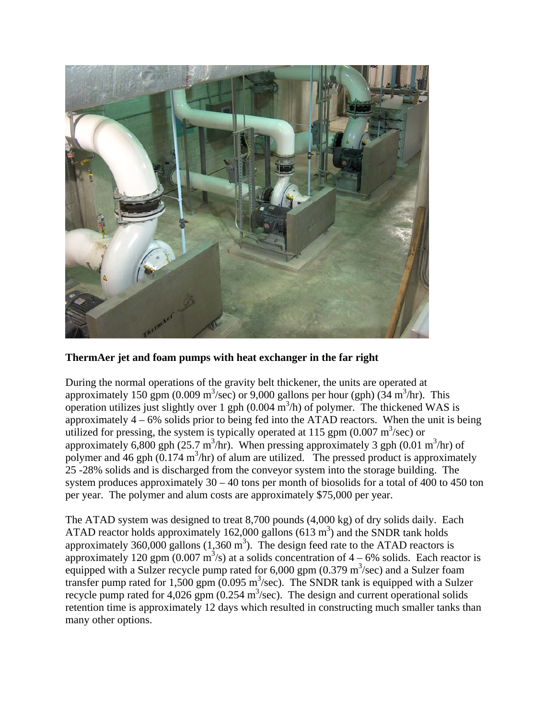

**ThermAer jet and foam pumps with heat exchanger in the far right** 

During the normal operations of the gravity belt thickener, the units are operated at approximately 150 gpm (0.009 m<sup>3</sup>/sec) or 9,000 gallons per hour (gph)  $(34 \text{ m}^3/\text{hr})$ . This operation utilizes just slightly over 1 gph  $(0.004 \text{ m}^3/\text{h})$  of polymer. The thickened WAS is approximately  $4 - 6\%$  solids prior to being fed into the ATAD reactors. When the unit is being utilized for pressing, the system is typically operated at 115 gpm  $(0.007 \text{ m}^3/\text{sec})$  or approximately 6,800 gph (25.7 m<sup>3</sup>/hr). When pressing approximately 3 gph (0.01 m<sup>3</sup>/hr) of polymer and 46 gph  $(0.174 \text{ m}^3/\text{hr})$  of alum are utilized. The pressed product is approximately 25 -28% solids and is discharged from the conveyor system into the storage building. The system produces approximately  $30 - 40$  tons per month of biosolids for a total of 400 to 450 ton per year. The polymer and alum costs are approximately \$75,000 per year.

The ATAD system was designed to treat 8,700 pounds (4,000 kg) of dry solids daily. Each ATAD reactor holds approximately 162,000 gallons  $(613 \text{ m}^3)$  and the SNDR tank holds approximately 360,000 gallons  $(1,360 \text{ m}^3)$ . The design feed rate to the ATAD reactors is approximately 120 gpm  $(0.007 \text{ m}^3/\text{s})$  at a solids concentration of 4 – 6% solids. Each reactor is equipped with a Sulzer recycle pump rated for  $6,000$  gpm  $(0.379 \text{ m}^3/\text{sec})$  and a Sulzer foam transfer pump rated for  $1,500$  gpm (0.095 m<sup>3</sup>/sec). The SNDR tank is equipped with a Sulzer recycle pump rated for  $4,026$  gpm  $(0.254 \text{ m}^3/\text{sec})$ . The design and current operational solids retention time is approximately 12 days which resulted in constructing much smaller tanks than many other options.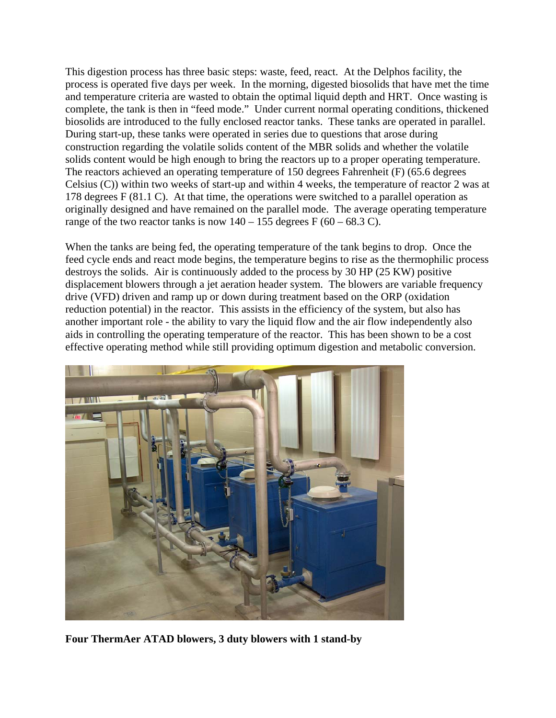This digestion process has three basic steps: waste, feed, react. At the Delphos facility, the process is operated five days per week. In the morning, digested biosolids that have met the time and temperature criteria are wasted to obtain the optimal liquid depth and HRT. Once wasting is complete, the tank is then in "feed mode." Under current normal operating conditions, thickened biosolids are introduced to the fully enclosed reactor tanks. These tanks are operated in parallel. During start-up, these tanks were operated in series due to questions that arose during construction regarding the volatile solids content of the MBR solids and whether the volatile solids content would be high enough to bring the reactors up to a proper operating temperature. The reactors achieved an operating temperature of 150 degrees Fahrenheit (F) (65.6 degrees Celsius (C)) within two weeks of start-up and within 4 weeks, the temperature of reactor 2 was at 178 degrees F (81.1 C). At that time, the operations were switched to a parallel operation as originally designed and have remained on the parallel mode. The average operating temperature range of the two reactor tanks is now  $140 - 155$  degrees F (60 – 68.3 C).

When the tanks are being fed, the operating temperature of the tank begins to drop. Once the feed cycle ends and react mode begins, the temperature begins to rise as the thermophilic process destroys the solids. Air is continuously added to the process by 30 HP (25 KW) positive displacement blowers through a jet aeration header system. The blowers are variable frequency drive (VFD) driven and ramp up or down during treatment based on the ORP (oxidation reduction potential) in the reactor. This assists in the efficiency of the system, but also has another important role - the ability to vary the liquid flow and the air flow independently also aids in controlling the operating temperature of the reactor. This has been shown to be a cost effective operating method while still providing optimum digestion and metabolic conversion.



**Four ThermAer ATAD blowers, 3 duty blowers with 1 stand-by**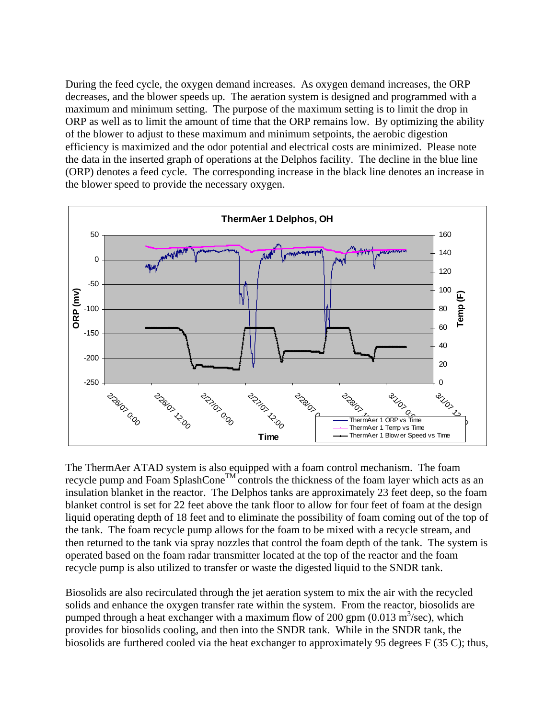During the feed cycle, the oxygen demand increases. As oxygen demand increases, the ORP decreases, and the blower speeds up. The aeration system is designed and programmed with a maximum and minimum setting. The purpose of the maximum setting is to limit the drop in ORP as well as to limit the amount of time that the ORP remains low. By optimizing the ability of the blower to adjust to these maximum and minimum setpoints, the aerobic digestion efficiency is maximized and the odor potential and electrical costs are minimized. Please note the data in the inserted graph of operations at the Delphos facility. The decline in the blue line (ORP) denotes a feed cycle. The corresponding increase in the black line denotes an increase in the blower speed to provide the necessary oxygen.



The ThermAer ATAD system is also equipped with a foam control mechanism. The foam recycle pump and Foam SplashCone<sup>TM</sup> controls the thickness of the foam layer which acts as an insulation blanket in the reactor. The Delphos tanks are approximately 23 feet deep, so the foam blanket control is set for 22 feet above the tank floor to allow for four feet of foam at the design liquid operating depth of 18 feet and to eliminate the possibility of foam coming out of the top of the tank. The foam recycle pump allows for the foam to be mixed with a recycle stream, and then returned to the tank via spray nozzles that control the foam depth of the tank. The system is operated based on the foam radar transmitter located at the top of the reactor and the foam recycle pump is also utilized to transfer or waste the digested liquid to the SNDR tank.

Biosolids are also recirculated through the jet aeration system to mix the air with the recycled solids and enhance the oxygen transfer rate within the system. From the reactor, biosolids are pumped through a heat exchanger with a maximum flow of 200 gpm  $(0.013 \text{ m}^3/\text{sec})$ , which provides for biosolids cooling, and then into the SNDR tank. While in the SNDR tank, the biosolids are furthered cooled via the heat exchanger to approximately 95 degrees F (35 C); thus,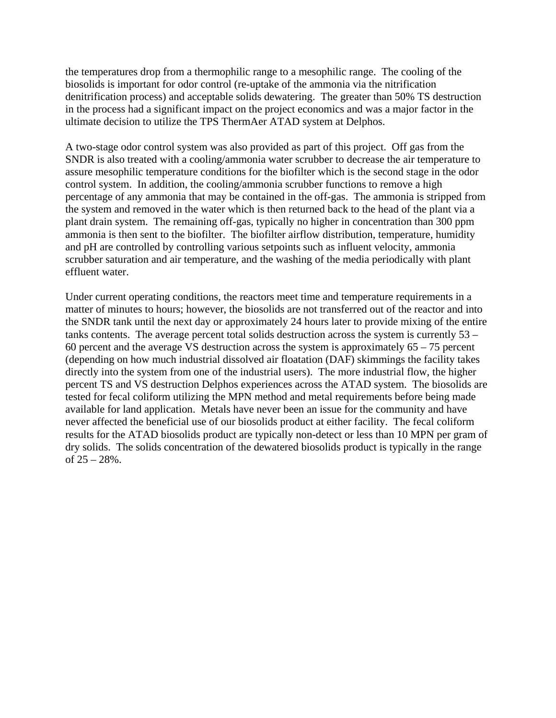the temperatures drop from a thermophilic range to a mesophilic range. The cooling of the biosolids is important for odor control (re-uptake of the ammonia via the nitrification denitrification process) and acceptable solids dewatering. The greater than 50% TS destruction in the process had a significant impact on the project economics and was a major factor in the ultimate decision to utilize the TPS ThermAer ATAD system at Delphos.

A two-stage odor control system was also provided as part of this project. Off gas from the SNDR is also treated with a cooling/ammonia water scrubber to decrease the air temperature to assure mesophilic temperature conditions for the biofilter which is the second stage in the odor control system. In addition, the cooling/ammonia scrubber functions to remove a high percentage of any ammonia that may be contained in the off-gas. The ammonia is stripped from the system and removed in the water which is then returned back to the head of the plant via a plant drain system. The remaining off-gas, typically no higher in concentration than 300 ppm ammonia is then sent to the biofilter. The biofilter airflow distribution, temperature, humidity and pH are controlled by controlling various setpoints such as influent velocity, ammonia scrubber saturation and air temperature, and the washing of the media periodically with plant effluent water.

Under current operating conditions, the reactors meet time and temperature requirements in a matter of minutes to hours; however, the biosolids are not transferred out of the reactor and into the SNDR tank until the next day or approximately 24 hours later to provide mixing of the entire tanks contents. The average percent total solids destruction across the system is currently 53 – 60 percent and the average VS destruction across the system is approximately  $65 - 75$  percent (depending on how much industrial dissolved air floatation (DAF) skimmings the facility takes directly into the system from one of the industrial users). The more industrial flow, the higher percent TS and VS destruction Delphos experiences across the ATAD system. The biosolids are tested for fecal coliform utilizing the MPN method and metal requirements before being made available for land application. Metals have never been an issue for the community and have never affected the beneficial use of our biosolids product at either facility. The fecal coliform results for the ATAD biosolids product are typically non-detect or less than 10 MPN per gram of dry solids. The solids concentration of the dewatered biosolids product is typically in the range of  $25 - 28%$ .